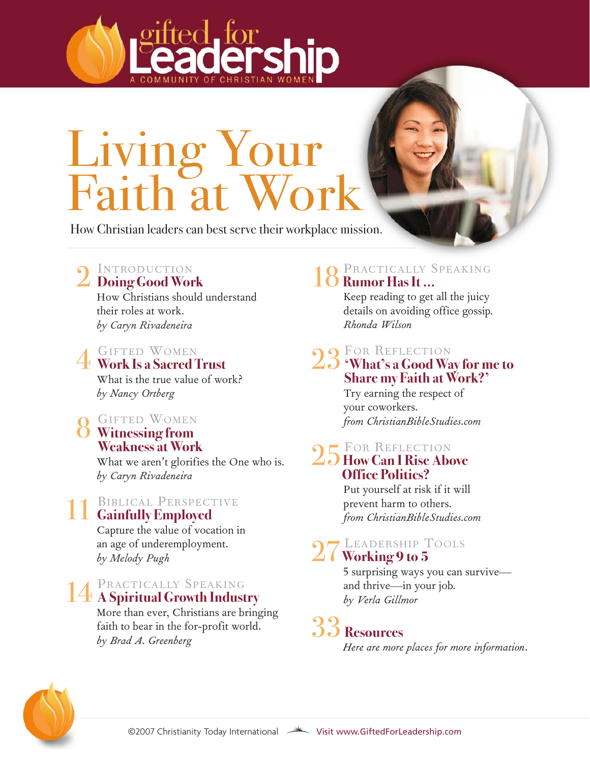

How Christian leaders can best serve their workplace mission.

# INTRODUCTION 2 **Doing Good Work**

How Christians should understand their roles at work. *by Caryn Rivadeneira*

# GIFTED WOMEN 4 **Work Is a Sacred Trust**

What is the true value of work? *by Nancy Ortberg*

### GIFTED WOMEN 8 **Witnessing from Weakness at Work**

What we aren't glorifies the One who is. *by Caryn Rivadeneira*

# 11 **BIBLICAL PERSPECTIVE**

Capture the value of vocation in an age of underemployment. *by Melody Pugh*

# PRACTICALLY SPEAKING 14 **ASpiritual Growth Industry**

More than ever, Christians are bringing faith to bear in the for-profit world. *by Brad A. Greenberg*

# $18 \frac{\text{PRACTICALI} \text{SPEAKING}}{\text{Rumor Has It} \dots}$

Keep reading to get all the juicy details on avoiding office gossip. *Rhonda Wilson*

#### **O** FOR REFLECTION

#### 23**'What's a Good Way for me to Share my Faith at Work?'**

Try earning the respect of your coworkers. *from ChristianBibleStudies.com*

### FOR REFLECTION

#### 25**How Can I Rise Above Office Politics?**

Put yourself at risk if it will prevent harm to others. *from ChristianBibleStudies.com*

# LEADERSHIP TOOLS 27**Working 9 to 5**

5 surprising ways you can survive and thrive—in your job. *by Verla Gillmor* 

# 33 **Resources**

*Here are more places for more information.*

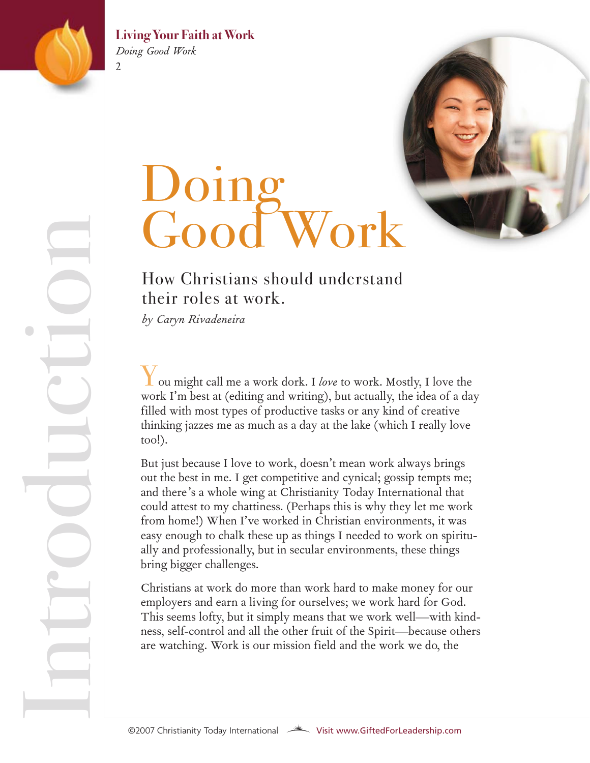

 $\mathfrak{D}$ 

n

tr

o

u

 $\bigcirc$ 

 $\overline{\phantom{0}}$ 

o

n

 $\bullet$  in the set of  $\blacksquare$ 

**d** 

#### **Living Your Faith at Work** *Doing Good Work*

# Doing Good Work

### How Christians should understand their roles at work.

*by Caryn Rivadeneira*

You might call me a work dork. I *love* to work. Mostly, I love the work I'm best at (editing and writing), but actually, the idea of a day filled with most types of productive tasks or any kind of creative thinking jazzes me as much as a day at the lake (which I really love too!).

But just because I love to work, doesn't mean work always brings out the best in me. I get competitive and cynical; gossip tempts me; and there's a whole wing at Christianity Today International that could attest to my chattiness. (Perhaps this is why they let me work from home!) When I've worked in Christian environments, it was easy enough to chalk these up as things I needed to work on spiritually and professionally, but in secular environments, these things bring bigger challenges.

Christians at work do more than work hard to make money for our employers and earn a living for ourselves; we work hard for God. This seems lofty, but it simply means that we work well—with kindness, self-control and all the other fruit of the Spirit—because others are watching. Work is our mission field and the work we do, the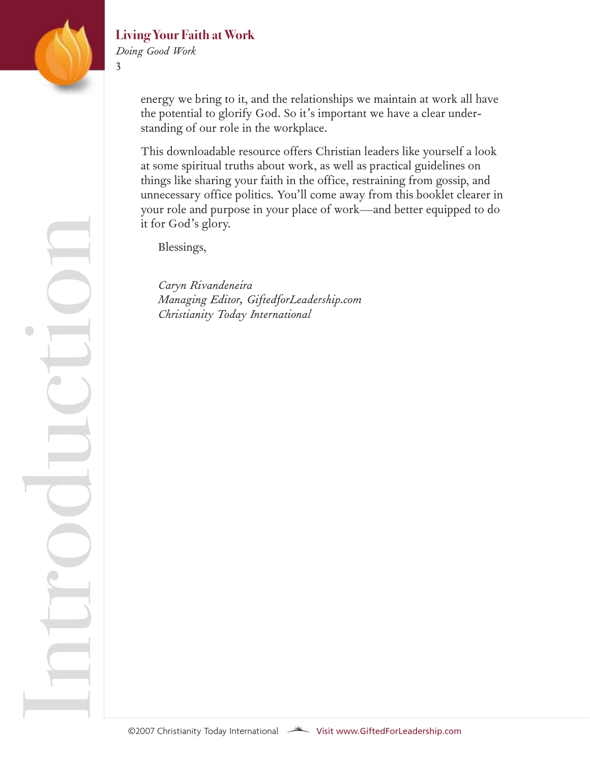

n

tr

o

u

 $\bigcirc$ 

 $\overline{\phantom{0}}$ 

o

n

 $\bullet$  in the set of  $\blacksquare$ 

**d** 

#### **Living Your Faith at Work**

*Doing Good Work*

3

energy we bring to it, and the relationships we maintain at work all have the potential to glorify God. So it's important we have a clear understanding of our role in the workplace.

This downloadable resource offers Christian leaders like yourself a look at some spiritual truths about work, as well as practical guidelines on things like sharing your faith in the office, restraining from gossip, and unnecessary office politics. You'll come away from this booklet clearer in your role and purpose in your place of work—and better equipped to do it for God's glory.

Blessings,

*Caryn Rivandeneira Managing Editor, GiftedforLeadership.com Christianity Today International*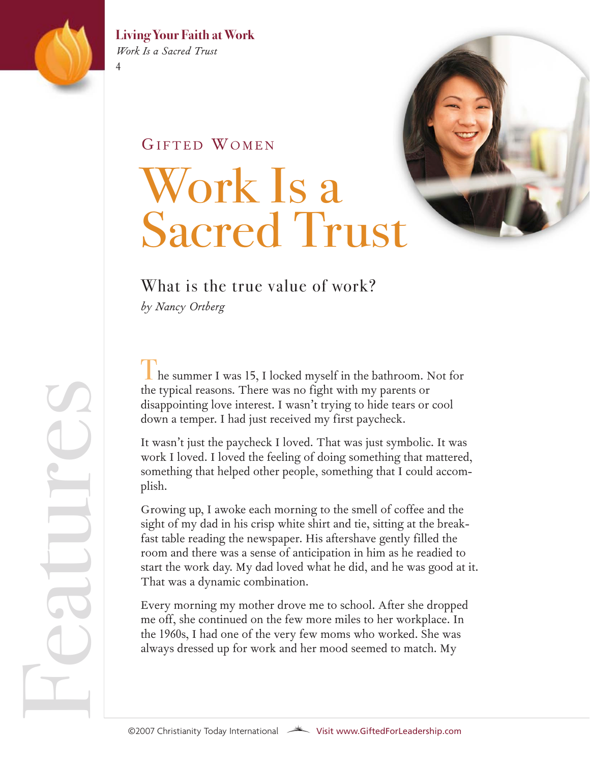

#### **Living Your Faith at Work** *Work Is a Sacred Trust*

GIFTED WOMEN

# Work Is a Sacred Trust

### What is the true value of work?

*by Nancy Ortberg*

 $\blacksquare$  he summer I was 15, I locked myself in the bathroom. Not for the typical reasons. There was no fight with my parents or disappointing love interest. I wasn't trying to hide tears or cool down a temper. I had just received my first paycheck.

It wasn't just the paycheck I loved. That was just symbolic. It was work I loved. I loved the feeling of doing something that mattered, something that helped other people, something that I could accomplish.

Growing up, I awoke each morning to the smell of coffee and the sight of my dad in his crisp white shirt and tie, sitting at the breakfast table reading the newspaper. His aftershave gently filled the room and there was a sense of anticipation in him as he readied to start the work day. My dad loved what he did, and he was good at it. That was a dynamic combination.

Every morning my mother drove me to school. After she dropped me off, she continued on the few more miles to her workplace. In the 1960s, I had one of the very few moms who worked. She was always dressed up for work and her mood seemed to match. My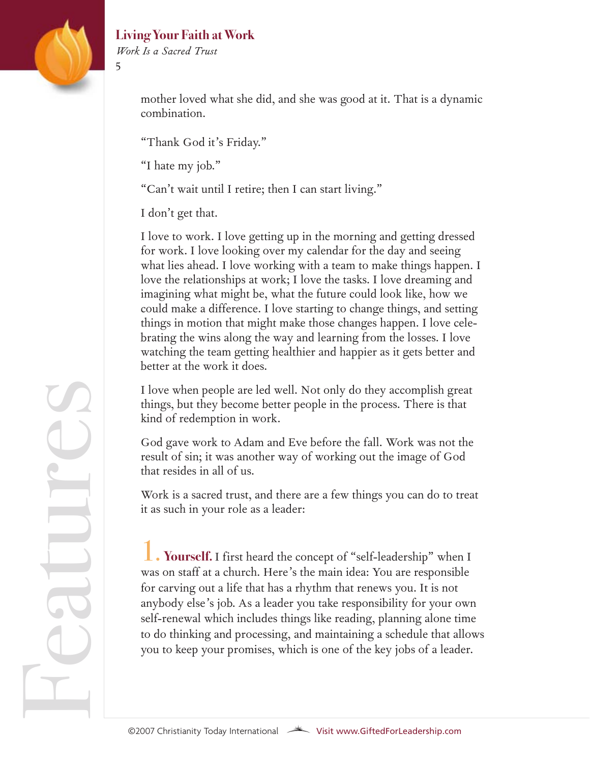

atur

 $\bigcirc$ 

 $\mathcal{L}$ 

#### **Living Your Faith at Work**

*Work Is a Sacred Trust*

5

mother loved what she did, and she was good at it. That is a dynamic combination.

"Thank God it's Friday."

"I hate my job."

"Can't wait until I retire; then I can start living."

I don't get that.

I love to work. I love getting up in the morning and getting dressed for work. I love looking over my calendar for the day and seeing what lies ahead. I love working with a team to make things happen. I love the relationships at work; I love the tasks. I love dreaming and imagining what might be, what the future could look like, how we could make a difference. I love starting to change things, and setting things in motion that might make those changes happen. I love celebrating the wins along the way and learning from the losses. I love watching the team getting healthier and happier as it gets better and better at the work it does.

I love when people are led well. Not only do they accomplish great things, but they become better people in the process. There is that kind of redemption in work.

God gave work to Adam and Eve before the fall. Work was not the result of sin; it was another way of working out the image of God that resides in all of us.

Work is a sacred trust, and there are a few things you can do to treat it as such in your role as a leader:

1. **Yourself.** <sup>I</sup> first heard the concept of "self-leadership" when I was on staff at a church. Here's the main idea: You are responsible for carving out a life that has a rhythm that renews you. It is not anybody else's job. As a leader you take responsibility for your own self-renewal which includes things like reading, planning alone time to do thinking and processing, and maintaining a schedule that allows you to keep your promises, which is one of the key jobs of a leader.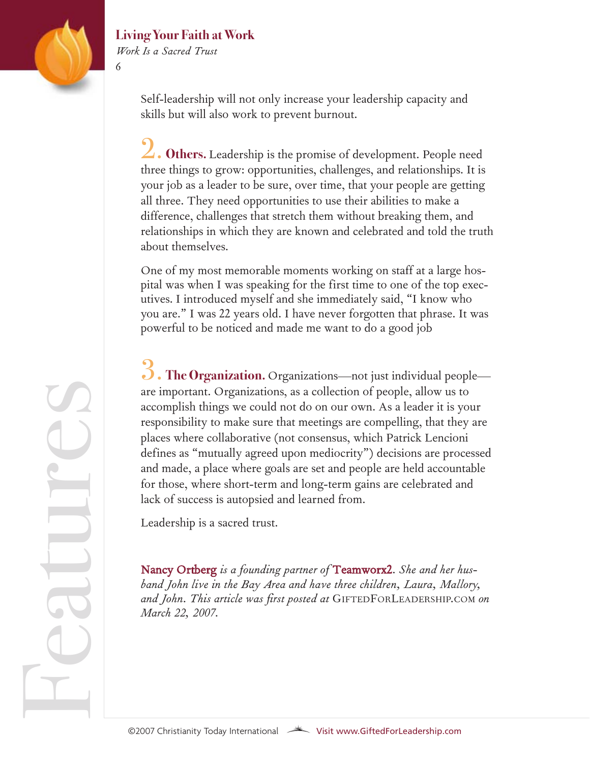

*Work Is a Sacred Trust*

6

Self-leadership will not only increase your leadership capacity and skills but will also work to prevent burnout.

2. **Others.** Leadership is the promise of development. People need three things to grow: opportunities, challenges, and relationships. It is your job as a leader to be sure, over time, that your people are getting all three. They need opportunities to use their abilities to make a difference, challenges that stretch them without breaking them, and relationships in which they are known and celebrated and told the truth about themselves.

One of my most memorable moments working on staff at a large hospital was when I was speaking for the first time to one of the top executives. I introduced myself and she immediately said, "I know who you are." I was 22 years old. I have never forgotten that phrase. It was powerful to be noticed and made me want to do a good job

 $\beta$ . The Organization. Organizations—not just individual people are important. Organizations, as a collection of people, allow us to accomplish things we could not do on our own. As a leader it is your responsibility to make sure that meetings are compelling, that they are places where collaborative (not consensus, which Patrick Lencioni defines as "mutually agreed upon mediocrity") decisions are processed and made, a place where goals are set and people are held accountable for those, where short-term and long-term gains are celebrated and lack of success is autopsied and learned from.

Leadership is a sacred trust.

Nancy [Ortberg](http://blog.christianitytoday.com/giftedforleadership/2007/01/nancy_ortberg.html) *is a founding partner of* [Teamworx2.](http://www.teamworx2.com/) *She and her husband John live in the Bay Area and have three children, Laura, Mallory, and John. This article was first posted at* GIFTEDFORLEADERSHIP.COM *on March 22, 2007.*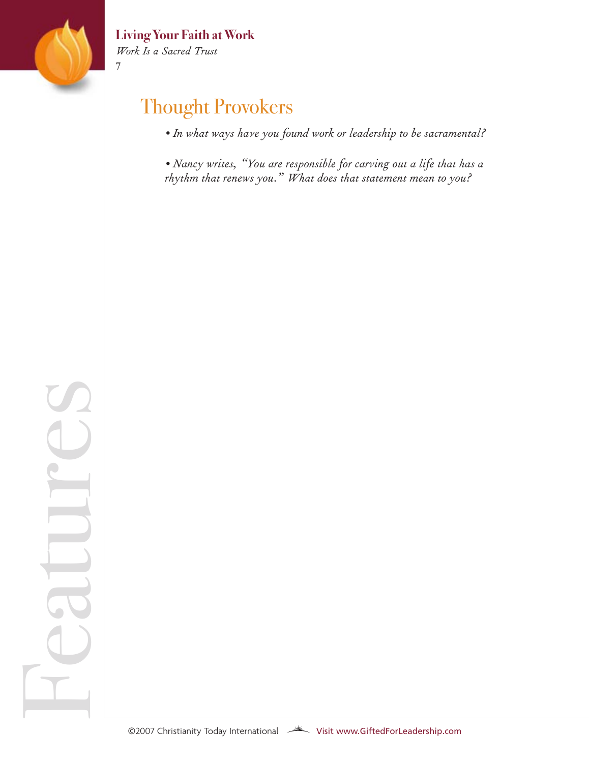

Fe

atur

 $\bigcirc$ 

 $\mathcal{L}$ 

*Work Is a Sacred Trust*

7

# Thought Provokers

*• In what ways have you found work or leadership to be sacramental?*

*• Nancy writes, "You are responsible for carving out a life that has a rhythm that renews you." What does that statement mean to you?*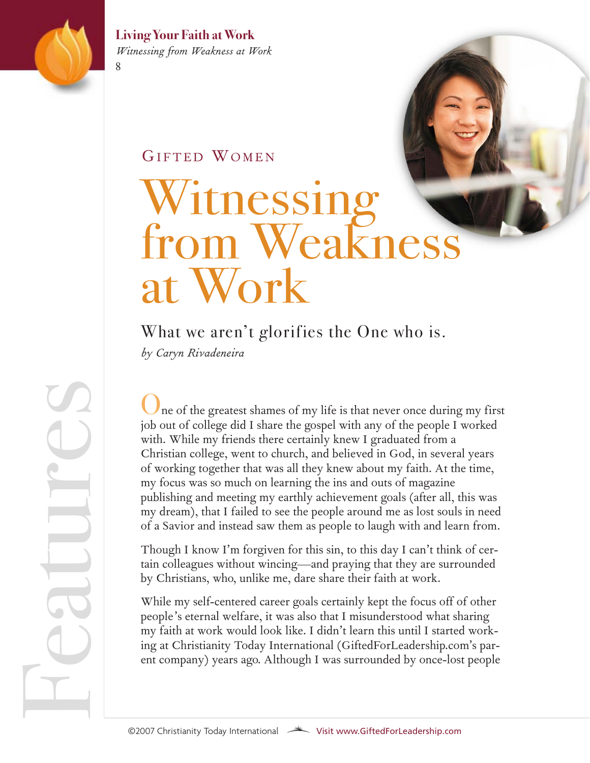

**Living Your Faith at Work** *Witnessing from Weakness at Work*

#### GIFTED WOMEN

# Witnessing from Weakn at Work

What we aren't glorifies the One who is.

*by Caryn Rivadeneira*

ne of the greatest shames of my life is that never once during my first job out of college did I share the gospel with any of the people I worked with. While my friends there certainly knew I graduated from a Christian college, went to church, and believed in God, in several years of working together that was all they knew about my faith. At the time, my focus was so much on learning the ins and outs of magazine publishing and meeting my earthly achievement goals (after all, this was my dream), that I failed to see the people around me as lost souls in need of a Savior and instead saw them as people to laugh with and learn from.

Though I know I'm forgiven for this sin, to this day I can't think of certain colleagues without wincing—and praying that they are surrounded by Christians, who, unlike me, dare share their faith at work.

While my self-centered career goals certainly kept the focus off of other people's eternal welfare, it was also that I misunderstood what sharing my faith at work would look like. I didn't learn this until I started working at Christianity Today International (GiftedForLeadership.com's parent company) years ago. Although I was surrounded by once-lost people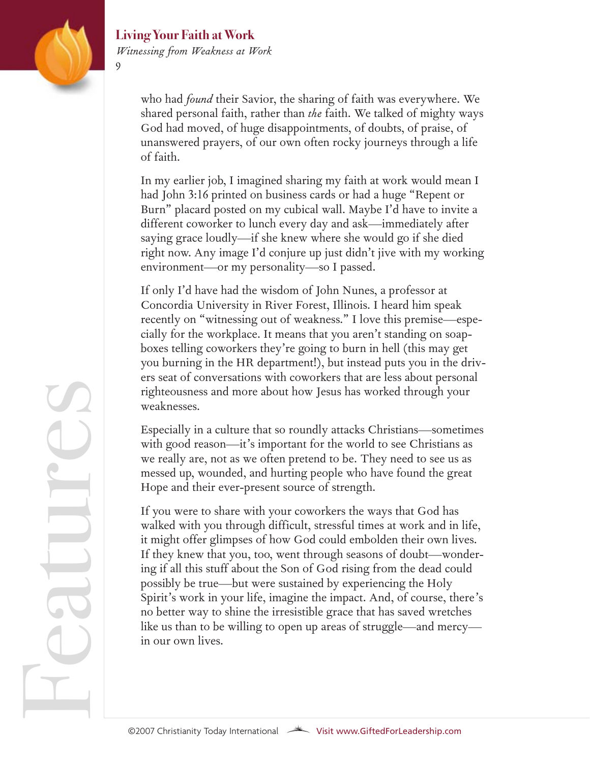

#### **Living Your Faith at Work** *Witnessing from Weakness at Work*

who had *found* their Savior, the sharing of faith was everywhere. We shared personal faith, rather than *the* faith. We talked of mighty ways God had moved, of huge disappointments, of doubts, of praise, of unanswered prayers, of our own often rocky journeys through a life of faith.

In my earlier job, I imagined sharing my faith at work would mean I had John 3:16 printed on business cards or had a huge "Repent or Burn" placard posted on my cubical wall. Maybe I'd have to invite a different coworker to lunch every day and ask—immediately after saying grace loudly—if she knew where she would go if she died right now. Any image I'd conjure up just didn't jive with my working environment—or my personality—so I passed.

If only I'd have had the wisdom of John Nunes, a professor at Concordia University in River Forest, Illinois. I heard him speak recently on "witnessing out of weakness." I love this premise—especially for the workplace. It means that you aren't standing on soapboxes telling coworkers they're going to burn in hell (this may get you burning in the HR department!), but instead puts you in the drivers seat of conversations with coworkers that are less about personal righteousness and more about how Jesus has worked through your weaknesses.

Especially in a culture that so roundly attacks Christians—sometimes with good reason—it's important for the world to see Christians as we really are, not as we often pretend to be. They need to see us as messed up, wounded, and hurting people who have found the great Hope and their ever-present source of strength.

If you were to share with your coworkers the ways that God has walked with you through difficult, stressful times at work and in life, it might offer glimpses of how God could embolden their own lives. If they knew that you, too, went through seasons of doubt—wondering if all this stuff about the Son of God rising from the dead could possibly be true—but were sustained by experiencing the Holy Spirit's work in your life, imagine the impact. And, of course, there's no better way to shine the irresistible grace that has saved wretches like us than to be willing to open up areas of struggle—and mercy in our own lives.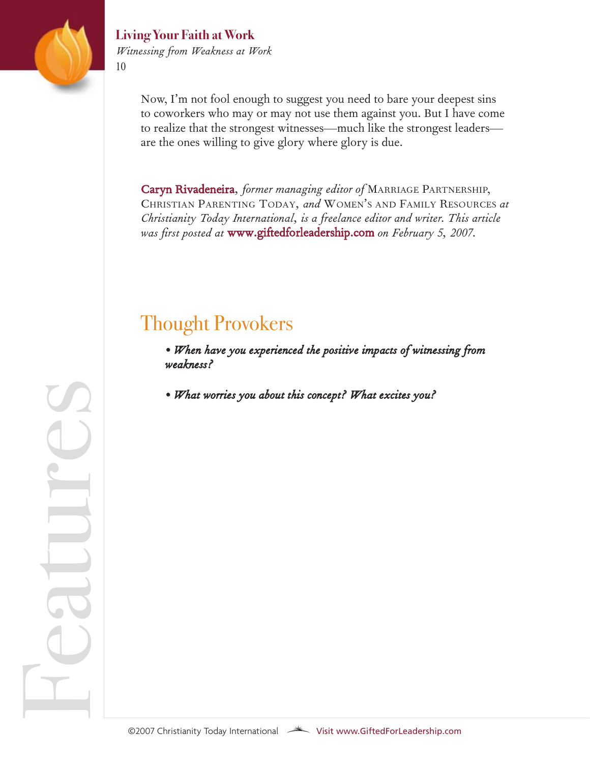

Fe

atur

 $\bigcirc$ 

 $\mathcal{L}$ 

#### **Living Your Faith at Work** *Witnessing from Weakness at Work*

Now, I'm not fool enough to suggest you need to bare your deepest sins to coworkers who may or may not use them against you. But I have come to realize that the strongest witnesses—much like the strongest leaders are the ones willing to give glory where glory is due.

Caryn [Rivadeneira](http://blog.christianitytoday.com/giftedforleadership/2007/01/caryn_rivadeneira.html)*[, former mana](http://www.christianitytoday.com/parenting)ging editor of* MARRIAGE [PARTNERSHIP,](http://www.christianitytoday.com/marriage) CHRISTIAN PARENTING TODAY*, and* [WOMEN'S AND](http://todayschristianwomanstore.com/) FAMILY RESOURCES *at Christianity Toda[y International, is a freelance edi](http://blog.christianitytoday.com/giftedforleadership/)tor and writer. This article was first posted at* www.giftedforleadership.com *on February 5, 2007.* 

# Thought Provokers

*• When have you experienced the positive impacts of witnessing from weakness?*

*• What worries you about this concept? What excites you?*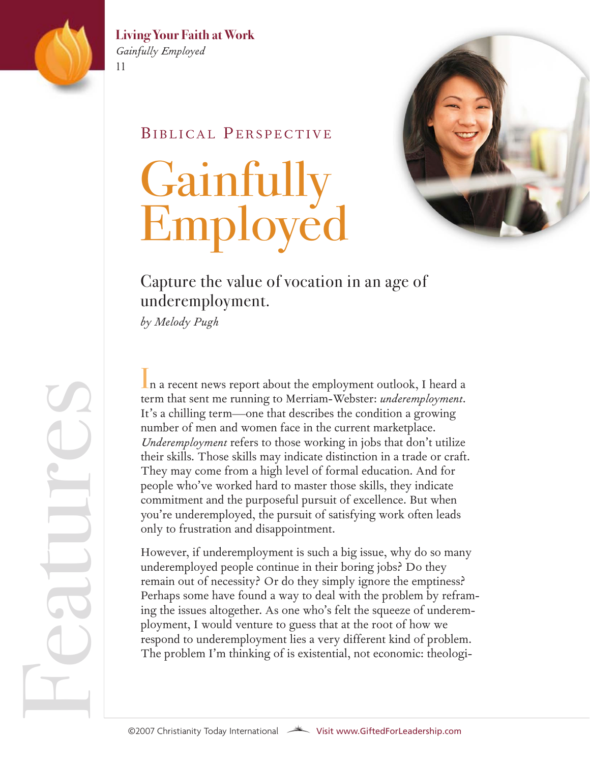

#### **Living Your Faith at Work** *Gainfully Employed*

#### BIBLICAL PERSPECTIVE

# Gainfully **Employed**



### Capture the value of vocation in an age of underemployment.

*by Melody Pugh*

In a recent news report about the employment outlook, I heard a term that sent me running to Merriam-Webster: *underemployment*. It's a chilling term—one that describes the condition a growing number of men and women face in the current marketplace. *Underemployment* refers to those working in jobs that don't utilize their skills. Those skills may indicate distinction in a trade or craft. They may come from a high level of formal education. And for people who've worked hard to master those skills, they indicate commitment and the purposeful pursuit of excellence. But when you're underemployed, the pursuit of satisfying work often leads only to frustration and disappointment.

However, if underemployment is such a big issue, why do so many underemployed people continue in their boring jobs? Do they remain out of necessity? Or do they simply ignore the emptiness? Perhaps some have found a way to deal with the problem by reframing the issues altogether. As one who's felt the squeeze of underemployment, I would venture to guess that at the root of how we respond to underemployment lies a very different kind of problem. The problem I'm thinking of is existential, not economic: theologi-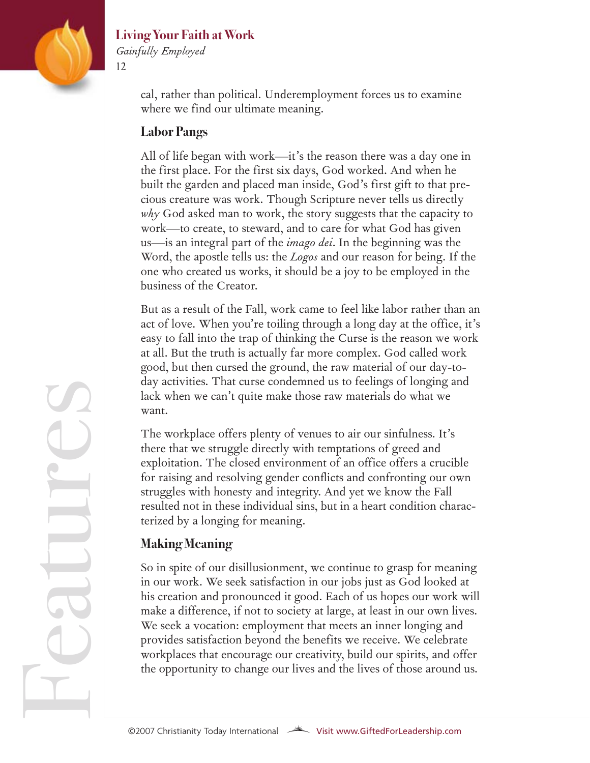

*Gainfully Employed* 12

> cal, rather than political. Underemployment forces us to examine where we find our ultimate meaning.

#### **Labor Pangs**

All of life began with work—it's the reason there was a day one in the first place. For the first six days, God worked. And when he built the garden and placed man inside, God's first gift to that precious creature was work. Though Scripture never tells us directly *why* God asked man to work, the story suggests that the capacity to work—to create, to steward, and to care for what God has given us—is an integral part of the *imago dei*. In the beginning was the Word, the apostle tells us: the *Logos* and our reason for being. If the one who created us works, it should be a joy to be employed in the business of the Creator.

But as a result of the Fall, work came to feel like labor rather than an act of love. When you're toiling through a long day at the office, it's easy to fall into the trap of thinking the Curse is the reason we work at all. But the truth is actually far more complex. God called work good, but then cursed the ground, the raw material of our day-today activities. That curse condemned us to feelings of longing and lack when we can't quite make those raw materials do what we want.

The workplace offers plenty of venues to air our sinfulness. It's there that we struggle directly with temptations of greed and exploitation. The closed environment of an office offers a crucible for raising and resolving gender conflicts and confronting our own struggles with honesty and integrity. And yet we know the Fall resulted not in these individual sins, but in a heart condition characterized by a longing for meaning.

#### **Making Meaning**

So in spite of our disillusionment, we continue to grasp for meaning in our work. We seek satisfaction in our jobs just as God looked at his creation and pronounced it good. Each of us hopes our work will make a difference, if not to society at large, at least in our own lives. We seek a vocation: employment that meets an inner longing and provides satisfaction beyond the benefits we receive. We celebrate workplaces that encourage our creativity, build our spirits, and offer We seek a vocation: employment that meets an inner longing and<br>provides satisfaction beyond the benefits we receive. We celebrate<br>workplaces that encourage our creativity, build our spirits, and offer<br>the opportunity to ch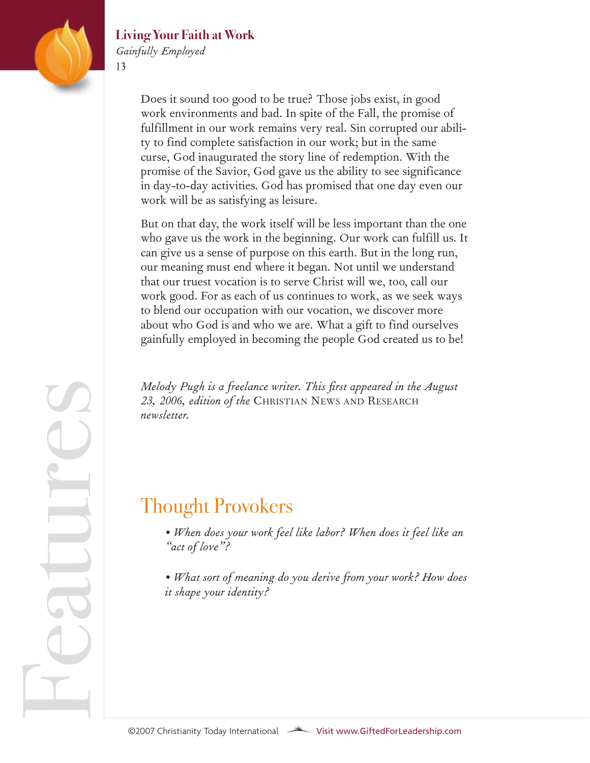

atur

e

 $\mathcal{L}$ 

#### **Living Your Faith at Work**

*Gainfully Employed*

13

Does it sound too good to be true? Those jobs exist, in good work environments and bad. In spite of the Fall, the promise of fulfillment in our work remains very real. Sin corrupted our ability to find complete satisfaction in our work; but in the same curse, God inaugurated the story line of redemption. With the promise of the Savior, God gave us the ability to see significance in day-to-day activities. God has promised that one day even our work will be as satisfying as leisure.

But on that day, the work itself will be less important than the one who gave us the work in the beginning. Our work can fulfill us. It can give us a sense of purpose on this earth. But in the long run, our meaning must end where it began. Not until we understand that our truest vocation is to serve Christ will we, too, call our work good. For as each of us continues to work, as we seek ways to blend our occupation with our vocation, we discover more about who God is and who we are. What a gift to find ourselves gainfully employed in becoming the people God created us to be!

*Melody Pugh is a freelance writer. This first appeared in the August 23, 2006, edition of the* CHRISTIAN NEWS AND RESEARCH *newsletter.*

## Thought Provokers

*• When does your work feel like labor? When does it feel like an "act of love"?*

*• What sort of meaning do you derive from your work? How does it shape your identity?*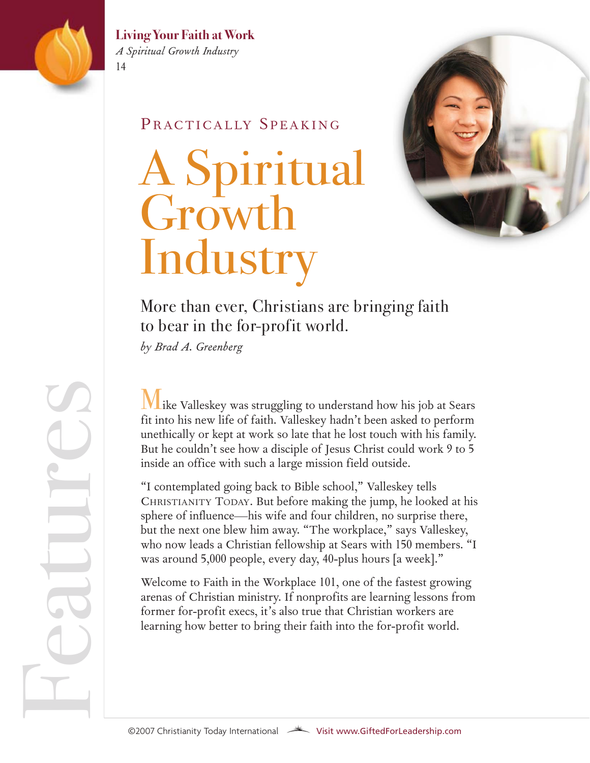

**Living Your Faith at Work** *A Spiritual Growth Industry*

#### PRACTICALLY SPEAKING

# A Spiritual Growth Industry



### More than ever, Christians are bringing faith to bear in the for-profit world.

*by Brad A. Greenberg*

Mike Valleskey was struggling to understand how his job at Sears fit into his new life of faith. Valleskey hadn't been asked to perform unethically or kept at work so late that he lost touch with his family. But he couldn't see how a disciple of Jesus Christ could work 9 to 5 inside an office with such a large mission field outside.

"I contemplated going back to Bible school," Valleskey tells CHRISTIANITY TODAY. But before making the jump, he looked at his sphere of influence—his wife and four children, no surprise there, but the next one blew him away. "The workplace," says Valleskey, who now leads a Christian fellowship at Sears with 150 members. "I was around 5,000 people, every day, 40-plus hours [a week]."

Welcome to Faith in the Workplace 101, one of the fastest growing arenas of Christian ministry. If nonprofits are learning lessons from former for-profit execs, it's also true that Christian workers are learning how better to bring their faith into the for-profit world.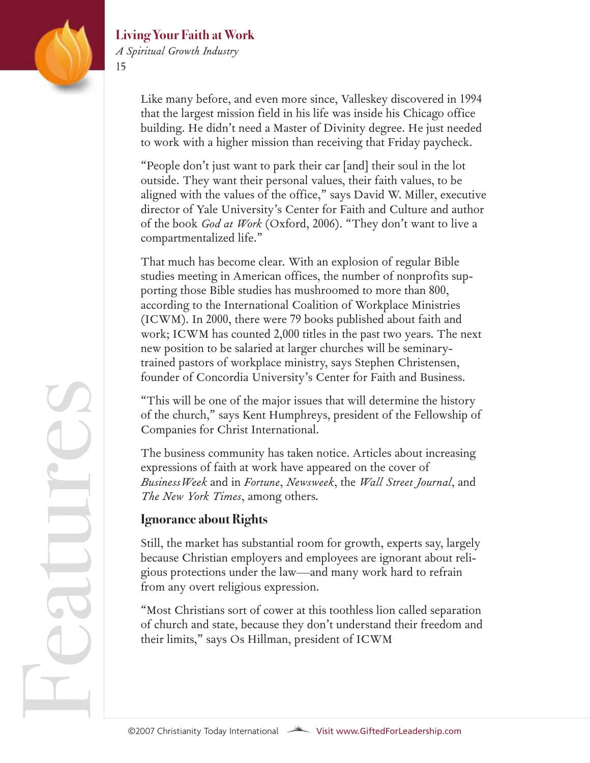

#### **Living Your Faith at Work** *A Spiritual Growth Industry*

Like many before, and even more since, Valleskey discovered in 1994 that the largest mission field in his life was inside his Chicago office building. He didn't need a Master of Divinity degree. He just needed to work with a higher mission than receiving that Friday paycheck.

"People don't just want to park their car [and] their soul in the lot outside. They want their personal values, their faith values, to be aligned with the values of the office," says David W. Miller, executive director of Yale University's Center for Faith and Culture and author of the book *God at Work* (Oxford, 2006). "They don't want to live a compartmentalized life."

That much has become clear. With an explosion of regular Bible studies meeting in American offices, the number of nonprofits supporting those Bible studies has mushroomed to more than 800, according to the International Coalition of Workplace Ministries (ICWM). In 2000, there were 79 books published about faith and work; ICWM has counted 2,000 titles in the past two years. The next new position to be salaried at larger churches will be seminarytrained pastors of workplace ministry, says Stephen Christensen, founder of Concordia University's Center for Faith and Business.

"This will be one of the major issues that will determine the history of the church," says Kent Humphreys, president of the Fellowship of Companies for Christ International.

The business community has taken notice. Articles about increasing expressions of faith at work have appeared on the cover of *BusinessWeek* and in *Fortune*, *Newsweek*, the *Wall Street Journal*, and *The New York Times*, among others.

#### **Ignorance about Rights**

Still, the market has substantial room for growth, experts say, largely because Christian employers and employees are ignorant about religious protections under the law—and many work hard to refrain from any overt religious expression.

"Most Christians sort of cower at this toothless lion called separation of church and state, because they don't understand their freedom and their limits," says Os Hillman, president of ICWM

Fe atur e $\mathcal{L}$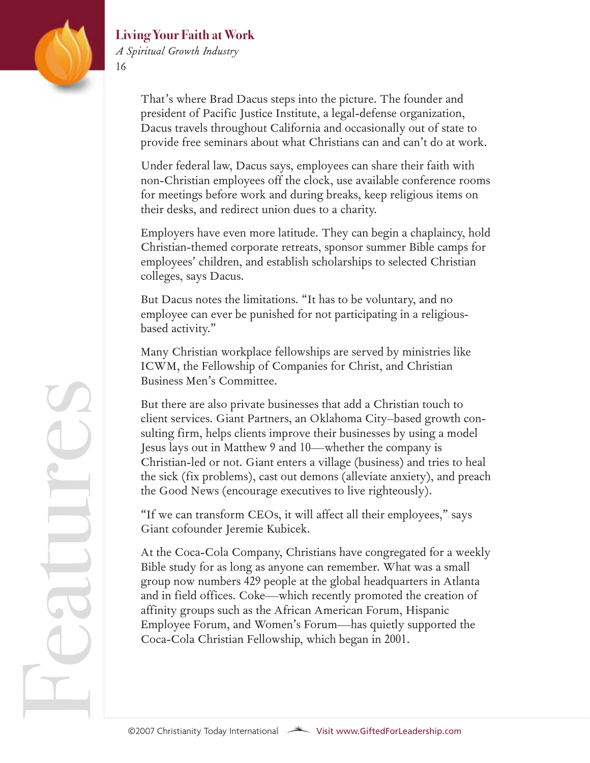

#### **Living Your Faith at Work** *A Spiritual Growth Industry*

That's where Brad Dacus steps into the picture. The founder and president of Pacific Justice Institute, a legal-defense organization, Dacus travels throughout California and occasionally out of state to provide free seminars about what Christians can and can't do at work.

Under federal law, Dacus says, employees can share their faith with non-Christian employees off the clock, use available conference rooms for meetings before work and during breaks, keep religious items on their desks, and redirect union dues to a charity.

Employers have even more latitude. They can begin a chaplaincy, hold Christian-themed corporate retreats, sponsor summer Bible camps for employees' children, and establish scholarships to selected Christian colleges, says Dacus.

But Dacus notes the limitations. "It has to be voluntary, and no employee can ever be punished for not participating in a religiousbased activity."

Many Christian workplace fellowships are served by ministries like ICWM, the Fellowship of Companies for Christ, and Christian Business Men's Committee.

But there are also private businesses that add a Christian touch to client services. Giant Partners, an Oklahoma City–based growth consulting firm, helps clients improve their businesses by using a model Jesus lays out in Matthew 9 and 10—whether the company is Christian-led or not. Giant enters a village (business) and tries to heal the sick (fix problems), cast out demons (alleviate anxiety), and preach the Good News (encourage executives to live righteously).

"If we can transform CEOs, it will affect all their employees," says Giant cofounder Jeremie Kubicek.

At the Coca-Cola Company, Christians have congregated for a weekly Bible study for as long as anyone can remember. What was a small group now numbers 429 people at the global headquarters in Atlanta and in field offices. Coke—which recently promoted the creation of affinity groups such as the African American Forum, Hispanic Employee Forum, and Women's Forum—has quietly supported the Coca-Cola Christian Fellowship, which began in 2001.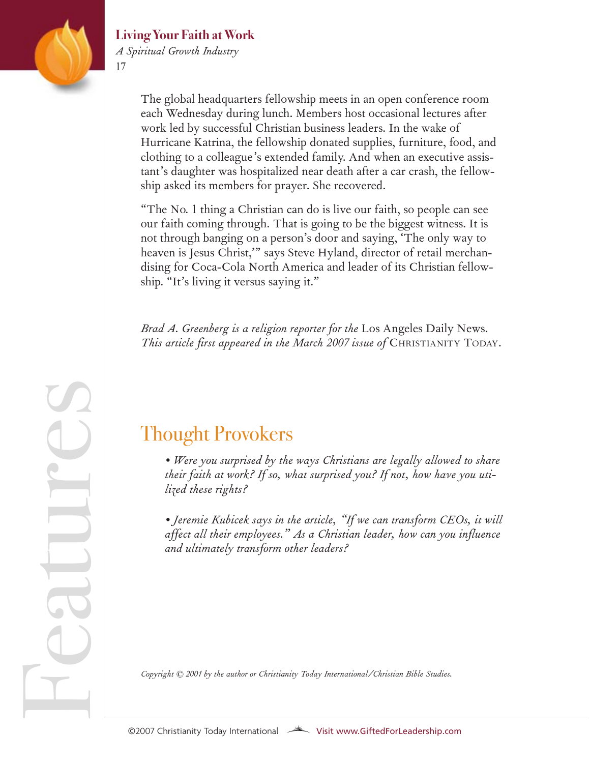

Fe

atur

e

 $\mathcal{L}$ 

#### **Living Your Faith at Work** *A Spiritual Growth Industry*

The global headquarters fellowship meets in an open conference room each Wednesday during lunch. Members host occasional lectures after work led by successful Christian business leaders. In the wake of Hurricane Katrina, the fellowship donated supplies, furniture, food, and clothing to a colleague's extended family. And when an executive assistant's daughter was hospitalized near death after a car crash, the fellowship asked its members for prayer. She recovered.

"The No. 1 thing a Christian can do is live our faith, so people can see our faith coming through. That is going to be the biggest witness. It is not through banging on a person's door and saying, 'The only way to heaven is Jesus Christ,'" says Steve Hyland, director of retail merchandising for Coca-Cola North America and leader of its Christian fellowship. "It's living it versus saying it."

*Brad A. Greenberg is a religion reporter for the* Los Angeles Daily News*. This article first appeared in the March 2007 issue of* CHRISTIANITY TODAY*.* 

## Thought Provokers

*• Were you surprised by the ways Christians are legally allowed to share their faith at work? If so, what surprised you? If not, how have you utilized these rights?*

*• Jeremie Kubicek says in the article, "If we can transform CEOs, it will affect all their employees." As a Christian leader, how can you influence and ultimately transform other leaders?* 

*Copyright © 2001 by the author or Christianity Today International/Christian Bible Studies.*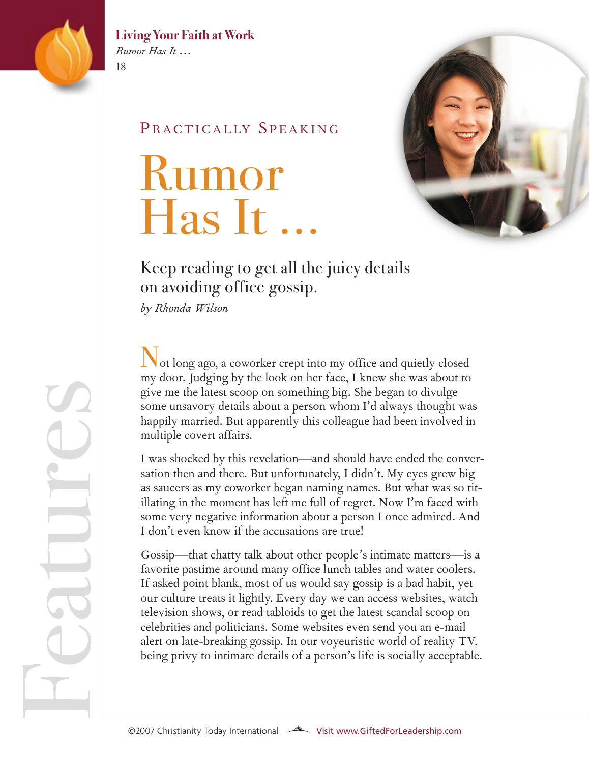

*Rumor Has It …* 18

#### PRACTICALLY SPEAKING

# Rumor Has It …



### Keep reading to get all the juicy details on avoiding office gossip.

*by Rhonda Wilson*

Not long ago, a coworker crept into my office and quietly closed my door. Judging by the look on her face, I knew she was about to give me the latest scoop on something big. She began to divulge some unsavory details about a person whom I'd always thought was happily married. But apparently this colleague had been involved in multiple covert affairs.

I was shocked by this revelation—and should have ended the conversation then and there. But unfortunately, I didn't. My eyes grew big as saucers as my coworker began naming names. But what was so titillating in the moment has left me full of regret. Now I'm faced with some very negative information about a person I once admired. And I don't even know if the accusations are true!

Gossip—that chatty talk about other people's intimate matters—is a favorite pastime around many office lunch tables and water coolers. If asked point blank, most of us would say gossip is a bad habit, yet our culture treats it lightly. Every day we can access websites, watch television shows, or read tabloids to get the latest scandal scoop on celebrities and politicians. Some websites even send you an e-mail alert on late-breaking gossip. In our voyeuristic world of reality TV, being privy to intimate details of a person's life is socially acceptable.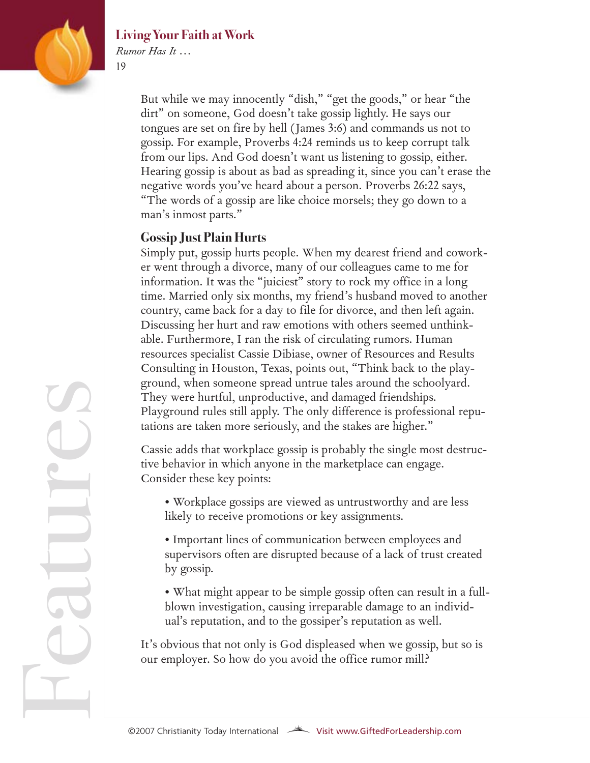



atur

e

 $\mathcal{L}$ 

*Rumor Has It …* 19

> But while we may innocently "dish," "get the goods," or hear "the dirt" on someone, God doesn't take gossip lightly. He says our tongues are set on fire by hell (James 3:6) and commands us not to gossip. For example, Proverbs 4:24 reminds us to keep corrupt talk from our lips. And God doesn't want us listening to gossip, either. Hearing gossip is about as bad as spreading it, since you can't erase the negative words you've heard about a person. Proverbs 26:22 says, "The words of a gossip are like choice morsels; they go down to a man's inmost parts."

#### **Gossip Just Plain Hurts**

Simply put, gossip hurts people. When my dearest friend and coworker went through a divorce, many of our colleagues came to me for information. It was the "juiciest" story to rock my office in a long time. Married only six months, my friend's husband moved to another country, came back for a day to file for divorce, and then left again. Discussing her hurt and raw emotions with others seemed unthinkable. Furthermore, I ran the risk of circulating rumors. Human resources specialist Cassie Dibiase, owner of Resources and Results Consulting in Houston, Texas, points out, "Think back to the playground, when someone spread untrue tales around the schoolyard. They were hurtful, unproductive, and damaged friendships. Playground rules still apply. The only difference is professional reputations are taken more seriously, and the stakes are higher."

Cassie adds that workplace gossip is probably the single most destructive behavior in which anyone in the marketplace can engage. Consider these key points:

- Workplace gossips are viewed as untrustworthy and are less likely to receive promotions or key assignments.
- Important lines of communication between employees and supervisors often are disrupted because of a lack of trust created by gossip.
- What might appear to be simple gossip often can result in a fullblown investigation, causing irreparable damage to an individual's reputation, and to the gossiper's reputation as well.

It's obvious that not only is God displeased when we gossip, but so is our employer. So how do you avoid the office rumor mill?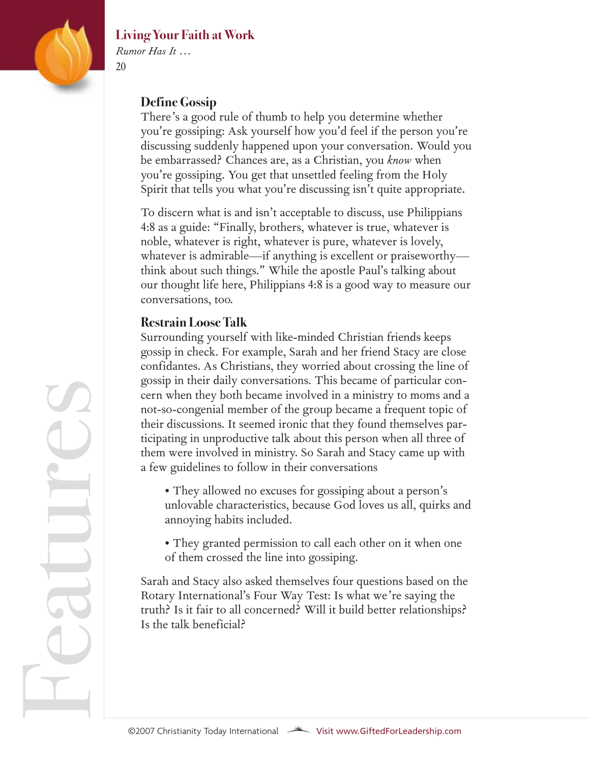

atur

e

 $\mathcal{L}$ 

#### **Living Your Faith at Work**

*Rumor Has It …* 20

#### **Define Gossip**

There's a good rule of thumb to help you determine whether you're gossiping: Ask yourself how you'd feel if the person you're discussing suddenly happened upon your conversation. Would you be embarrassed? Chances are, as a Christian, you *know* when you're gossiping. You get that unsettled feeling from the Holy Spirit that tells you what you're discussing isn't quite appropriate.

To discern what is and isn't acceptable to discuss, use Philippians 4:8 as a guide: "Finally, brothers, whatever is true, whatever is noble, whatever is right, whatever is pure, whatever is lovely, whatever is admirable—if anything is excellent or praiseworthy think about such things." While the apostle Paul's talking about our thought life here, Philippians 4:8 is a good way to measure our conversations, too.

#### **Restrain Loose Talk**

Surrounding yourself with like-minded Christian friends keeps gossip in check. For example, Sarah and her friend Stacy are close confidantes. As Christians, they worried about crossing the line of gossip in their daily conversations. This became of particular concern when they both became involved in a ministry to moms and a not-so-congenial member of the group became a frequent topic of their discussions. It seemed ironic that they found themselves participating in unproductive talk about this person when all three of them were involved in ministry. So Sarah and Stacy came up with a few guidelines to follow in their conversations

- They allowed no excuses for gossiping about a person's unlovable characteristics, because God loves us all, quirks and annoying habits included.
- They granted permission to call each other on it when one of them crossed the line into gossiping.

Sarah and Stacy also asked themselves four questions based on the Rotary International's Four Way Test: Is what we're saying the truth? Is it fair to all concerned? Will it build better relationships? Is the talk beneficial?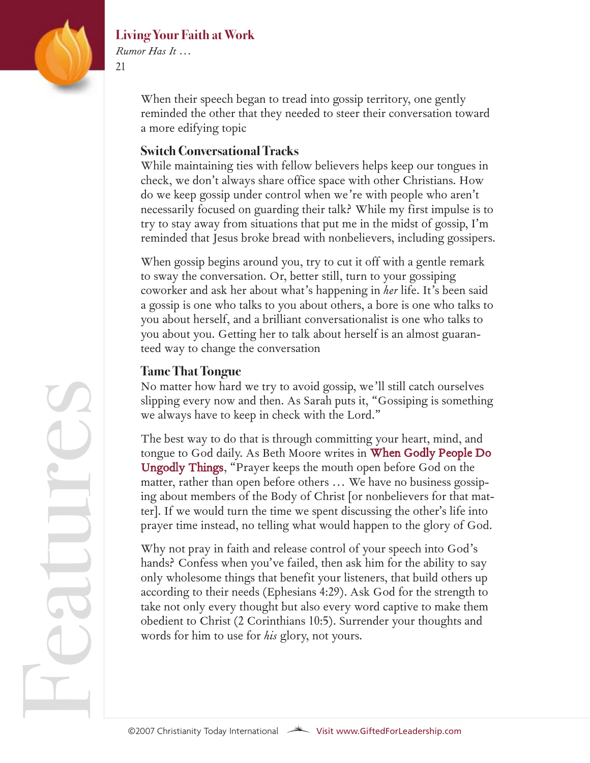

atur

e

 $\mathcal{L}$ 

#### **Living Your Faith at Work**

*Rumor Has It …* 21

> When their speech began to tread into gossip territory, one gently reminded the other that they needed to steer their conversation toward a more edifying topic

#### **Switch Conversational Tracks**

While maintaining ties with fellow believers helps keep our tongues in check, we don't always share office space with other Christians. How do we keep gossip under control when we're with people who aren't necessarily focused on guarding their talk? While my first impulse is to try to stay away from situations that put me in the midst of gossip, I'm reminded that Jesus broke bread with nonbelievers, including gossipers.

When gossip begins around you, try to cut it off with a gentle remark to sway the conversation. Or, better still, turn to your gossiping coworker and ask her about what's happening in *her* life. It's been said a gossip is one who talks to you about others, a bore is one who talks to you about herself, and a brilliant conversationalist is one who talks to you about you. Getting her to talk about herself is an almost guaranteed way to change the conversation

#### **Tame That Tongue**

No matter how hard we try to avoid gossip, we'll still catch ourselves slipping every now and then. As Sarah puts it, "Gossiping is something we always have to keep in check with the Lord."

The best way to do that is through committin[g your heart, mind, and](Not long ago, a coworker crept into my office and quietly closed my door. Judging by the look on her face, I knew she was about to give me the latest scoop on something big. She began to divulge some unsavory details about a person whom I�d always th) [tongue to God da](Not long ago, a coworker crept into my office and quietly closed my door. Judging by the look on her face, I knew she was about to give me the latest scoop on something big. She began to divulge some unsavory details about a person whom I�d always th)ily. As Beth Moore writes in **When Godly People Do** Ungodly Things, "Prayer keeps the mouth open before God on the matter, rather than open before others ... We have no business gossiping about members of the Body of Christ [or nonbelievers for that matter]. If we would turn the time we spent discussing the other's life into prayer time instead, no telling what would happen to the glory of God.

Why not pray in faith and release control of your speech into God's hands? Confess when you've failed, then ask him for the ability to say only wholesome things that benefit your listeners, that build others up according to their needs (Ephesians 4:29). Ask God for the strength to take not only every thought but also every word captive to make them obedient to Christ (2 Corinthians 10:5). Surrender your thoughts and words for him to use for *his* glory, not yours.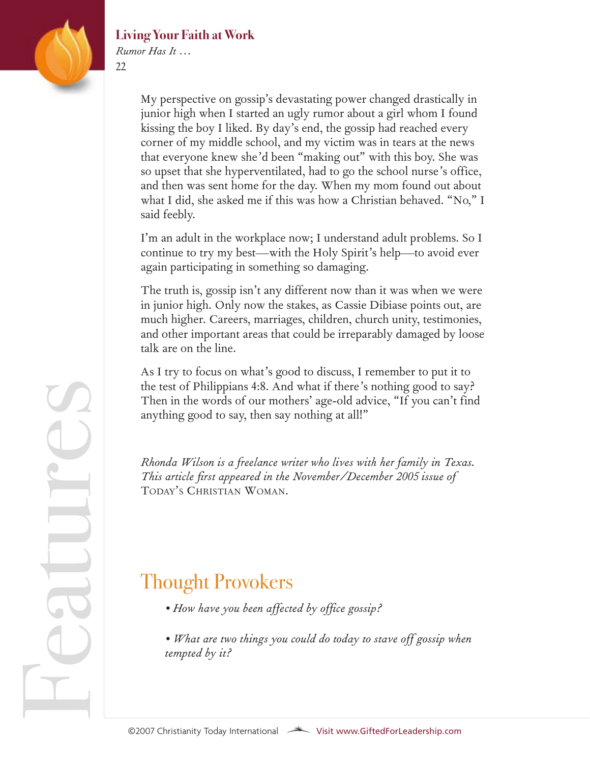

*Rumor Has It …* 22

> My perspective on gossip's devastating power changed drastically in junior high when I started an ugly rumor about a girl whom I found kissing the boy I liked. By day's end, the gossip had reached every corner of my middle school, and my victim was in tears at the news that everyone knew she'd been "making out" with this boy. She was so upset that she hyperventilated, had to go the school nurse's office, and then was sent home for the day. When my mom found out about what I did, she asked me if this was how a Christian behaved. "No," I said feebly.

> I'm an adult in the workplace now; I understand adult problems. So I continue to try my best—with the Holy Spirit's help—to avoid ever again participating in something so damaging.

> The truth is, gossip isn't any different now than it was when we were in junior high. Only now the stakes, as Cassie Dibiase points out, are much higher. Careers, marriages, children, church unity, testimonies, and other important areas that could be irreparably damaged by loose talk are on the line.

As I try to focus on what's good to discuss, I remember to put it to the test of Philippians 4:8. And what if there's nothing good to say? Then in the words of our mothers' age-old advice, "If you can't find anything good to say, then say nothing at all!"

*Rhonda Wilson is a freelance writer who lives with her family in Texas. This article first appeared in the November/December 2005 issue of* TODAY'S CHRISTIAN WOMAN*.*

## Thought Provokers

- *How have you been affected by office gossip?*
- *What are two things you could do today to stave off gossip when tempted by it?*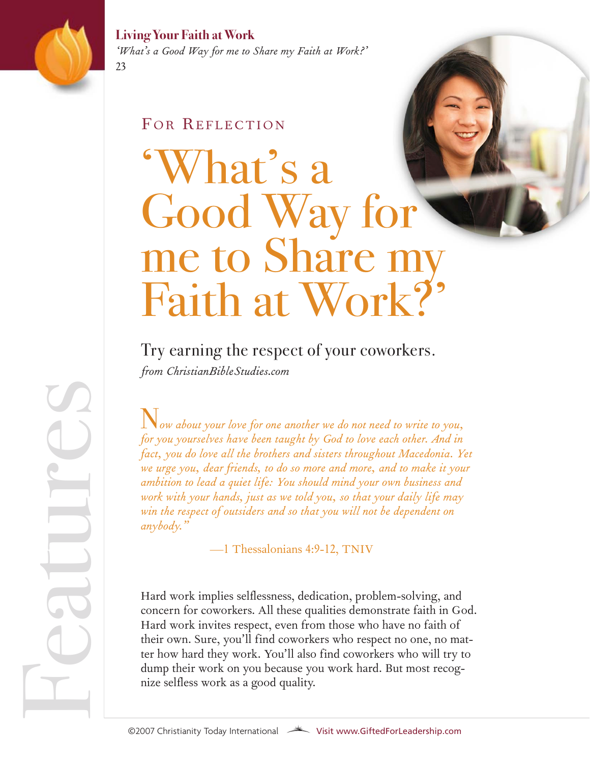

*'What's a Good Way for me to Share my Faith at Work?'* 23

#### FOR REFLECTION

# What's a Good Way for me to Share n Faith at Work?'

Try earning the respect of your coworkers. *from ChristianBibleStudies.com*

N*ow about your love for one another we do not need to write to you, for you yourselves have been taught by God to love each other. And in fact, you do love all the brothers and sisters throughout Macedonia. Yet we urge you, dear friends, to do so more and more, and to make it your ambition to lead a quiet life: You should mind your own business and work with your hands, just as we told you, so that your daily life may win the respect of outsiders and so that you will not be dependent on anybody."*

—1 Thessalonians 4:9-12, TNIV

Hard work implies selflessness, dedication, problem-solving, and concern for coworkers. All these qualities demonstrate faith in God. Hard work invites respect, even from those who have no faith of their own. Sure, you'll find coworkers who respect no one, no matter how hard they work. You'll also find coworkers who will try to dump their work on you because you work hard. But most recog-Trand WOR INVIES TESPECT, EVEN TO<br>their own. Sure, you'll find cowork<br>ter how hard they work. You'll also<br>dump their work on you because yo<br>nize selfless work as a good quality.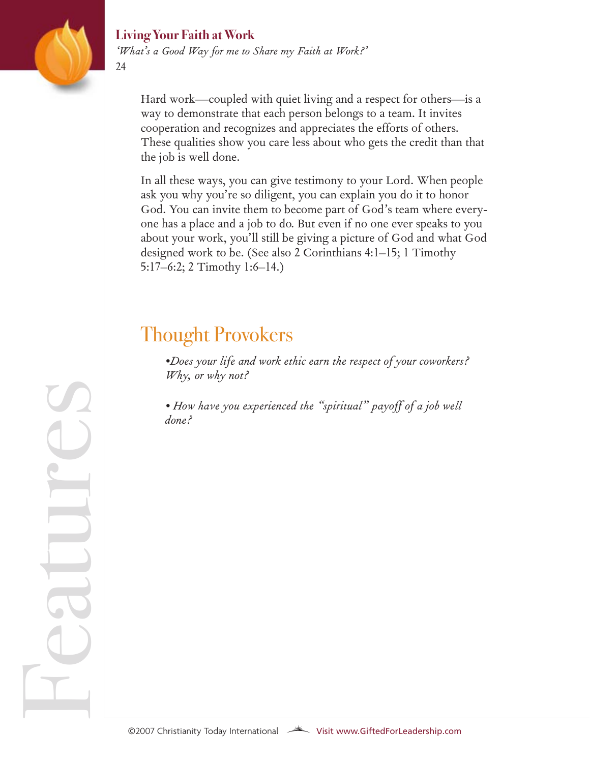

Fe

atur

e

 $\mathcal{L}$ 

#### **Living Your Faith at Work**

*'What's a Good Way for me to Share my Faith at Work?'*

Hard work—coupled with quiet living and a respect for others—is a way to demonstrate that each person belongs to a team. It invites cooperation and recognizes and appreciates the efforts of others. These qualities show you care less about who gets the credit than that the job is well done.

In all these ways, you can give testimony to your Lord. When people ask you why you're so diligent, you can explain you do it to honor God. You can invite them to become part of God's team where everyone has a place and a job to do. But even if no one ever speaks to you about your work, you'll still be giving a picture of God and what God designed work to be. (See also 2 Corinthians 4:1–15; 1 Timothy 5:17–6:2; 2 Timothy 1:6–14.)

# Thought Provokers

*•Does your life and work ethic earn the respect of your coworkers? Why, or why not?*

*• How have you experienced the "spiritual" payoff of a job well done?*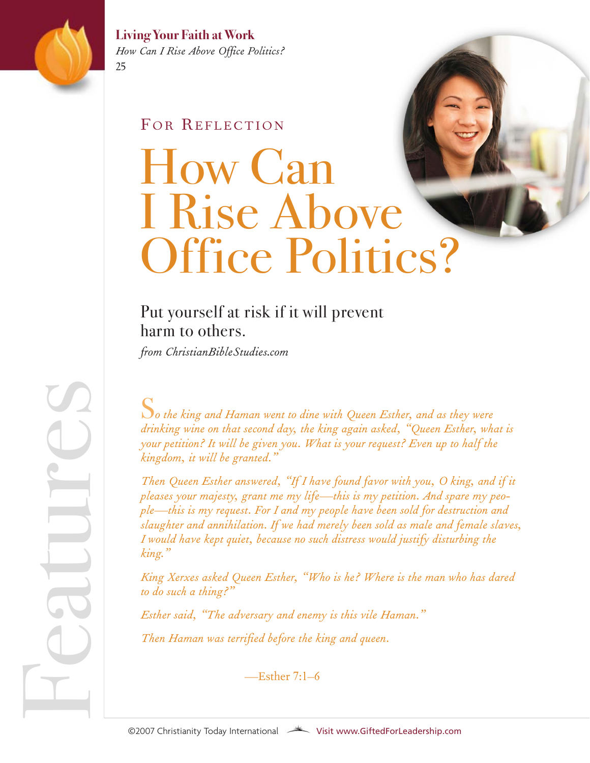

atur

e

 $\mathcal{L}$ 

**Living Your Faith at Work** *How Can I Rise Above Office Politics?*  25

#### FOR REFLECTION

# How Can I Rise Above Office Politics?

### Put yourself at risk if it will prevent harm to others.

*from ChristianBibleStudies.com*

S*o the king and Haman went to dine with Queen Esther, and as they were drinking wine on that second day, the king again asked, "Queen Esther, what is your petition? It will be given you. What is your request? Even up to half the kingdom, it will be granted."*

*Then Queen Esther answered, "If I have found favor with you, O king, and if it pleases your majesty, grant me my life—this is my petition. And spare my people—this is my request. For I and my people have been sold for destruction and slaughter and annihilation. If we had merely been sold as male and female slaves, I would have kept quiet, because no such distress would justify disturbing the king."*

*King Xerxes asked Queen Esther, "Who is he? Where is the man who has dared to do such a thing?"*

*Esther said, "The adversary and enemy is this vile Haman." Then Haman was terrified before the king and queen.* Then Haman was terrified before the k<br>—Esther 7:1–6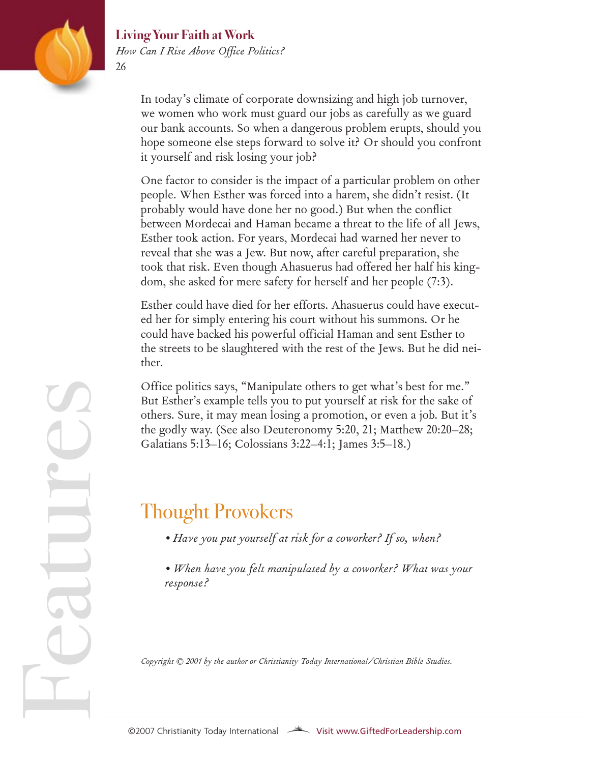

#### **Living Your Faith at Work** *How Can I Rise Above Office Politics?*

In today's climate of corporate downsizing and high job turnover, we women who work must guard our jobs as carefully as we guard our bank accounts. So when a dangerous problem erupts, should you hope someone else steps forward to solve it? Or should you confront it yourself and risk losing your job?

One factor to consider is the impact of a particular problem on other people. When Esther was forced into a harem, she didn't resist. (It probably would have done her no good.) But when the conflict between Mordecai and Haman became a threat to the life of all Jews, Esther took action. For years, Mordecai had warned her never to reveal that she was a Jew. But now, after careful preparation, she took that risk. Even though Ahasuerus had offered her half his kingdom, she asked for mere safety for herself and her people (7:3).

Esther could have died for her efforts. Ahasuerus could have executed her for simply entering his court without his summons. Or he could have backed his powerful official Haman and sent Esther to the streets to be slaughtered with the rest of the Jews. But he did neither.

Office politics says, "Manipulate others to get what's best for me." But Esther's example tells you to put yourself at risk for the sake of others. Sure, it may mean losing a promotion, or even a job. But it's the godly way. (See also Deuteronomy 5:20, 21; Matthew 20:20–28; Galatians 5:13–16; Colossians 3:22–4:1; James 3:5–18.)

## Thought Provokers

- *Have you put yourself at risk for a coworker? If so, when?*
- *When have you felt manipulated by a coworker? What was your response?*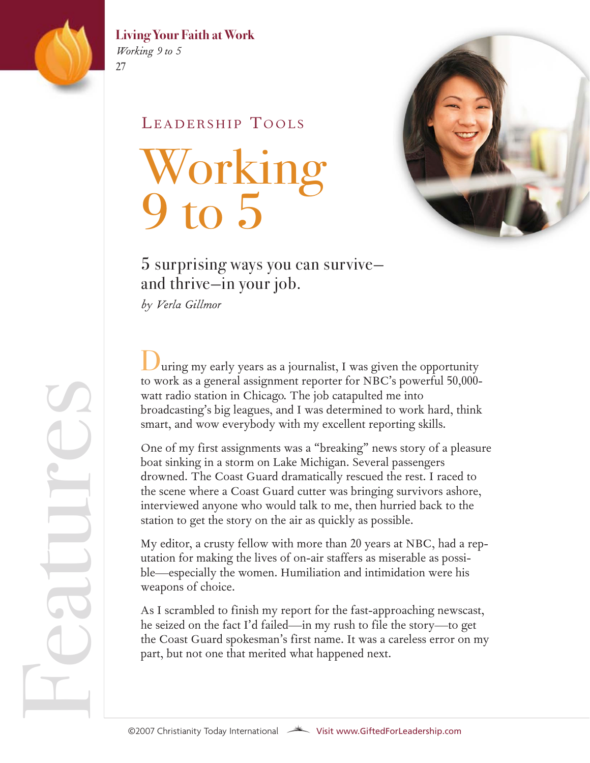

*Working 9 to 5*  27

#### LEADERSHIP TOOLS

# Working 9 to 5



### 5 surprising ways you can survive and thrive—in your job.

*by Verla Gillmor* 

uring my early years as a journalist, I was given the opportunity to work as a general assignment reporter for NBC's powerful 50,000 watt radio station in Chicago. The job catapulted me into broadcasting's big leagues, and I was determined to work hard, think smart, and wow everybody with my excellent reporting skills.

One of my first assignments was a "breaking" news story of a pleasure boat sinking in a storm on Lake Michigan. Several passengers drowned. The Coast Guard dramatically rescued the rest. I raced to the scene where a Coast Guard cutter was bringing survivors ashore, interviewed anyone who would talk to me, then hurried back to the station to get the story on the air as quickly as possible.

My editor, a crusty fellow with more than 20 years at NBC, had a reputation for making the lives of on-air staffers as miserable as possible—especially the women. Humiliation and intimidation were his weapons of choice.

As I scrambled to finish my report for the fast-approaching newscast, he seized on the fact I'd failed—in my rush to file the story—to get the Coast Guard spokesman's first name. It was a careless error on my part, but not one that merited what happened next.

Fe atur e $\mathcal{L}$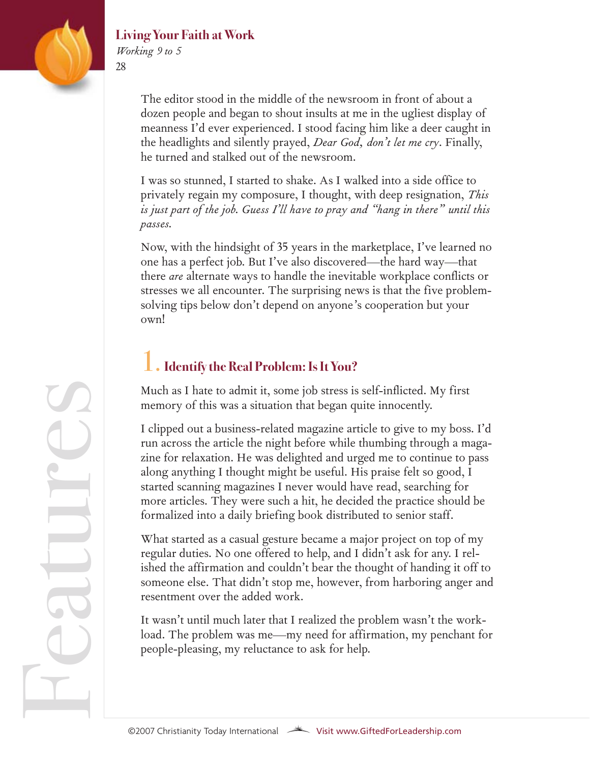

*Working 9 to 5*  28

> The editor stood in the middle of the newsroom in front of about a dozen people and began to shout insults at me in the ugliest display of meanness I'd ever experienced. I stood facing him like a deer caught in the headlights and silently prayed, *Dear God, don't let me cry*. Finally, he turned and stalked out of the newsroom.

> I was so stunned, I started to shake. As I walked into a side office to privately regain my composure, I thought, with deep resignation, *This is just part of the job. Guess I'll have to pray and "hang in there" until this passes.*

> Now, with the hindsight of 35 years in the marketplace, I've learned no one has a perfect job. But I've also discovered—the hard way—that there *are* alternate ways to handle the inevitable workplace conflicts or stresses we all encounter. The surprising news is that the five problemsolving tips below don't depend on anyone's cooperation but your own!

#### 1.**Identify the Real Problem: Is It You?**

Much as I hate to admit it, some job stress is self-inflicted. My first memory of this was a situation that began quite innocently.

I clipped out a business-related magazine article to give to my boss. I'd run across the article the night before while thumbing through a magazine for relaxation. He was delighted and urged me to continue to pass along anything I thought might be useful. His praise felt so good, I started scanning magazines I never would have read, searching for more articles. They were such a hit, he decided the practice should be formalized into a daily briefing book distributed to senior staff.

What started as a casual gesture became a major project on top of my regular duties. No one offered to help, and I didn't ask for any. I relished the affirmation and couldn't bear the thought of handing it off to someone else. That didn't stop me, however, from harboring anger and resentment over the added work.

It wasn't until much later that I realized the problem wasn't the workload. The problem was me—my need for affirmation, my penchant for people-pleasing, my reluctance to ask for help.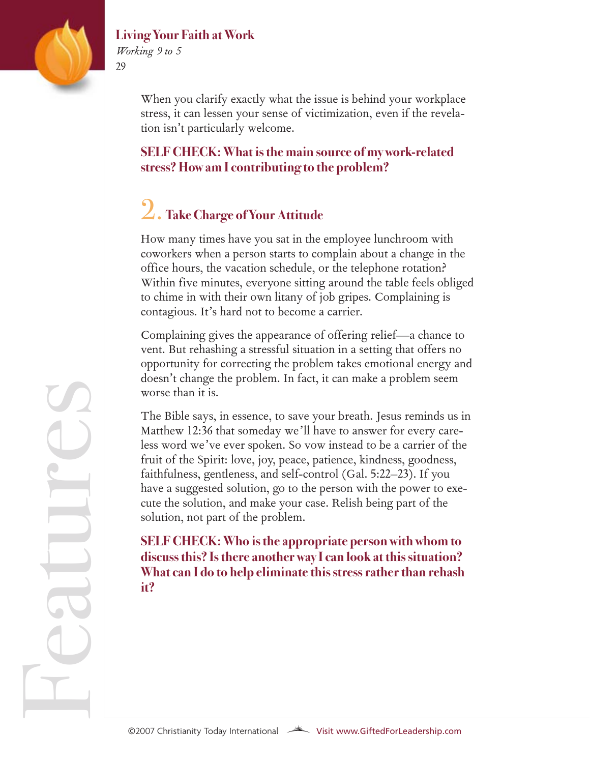

*Working 9 to 5* 29

> When you clarify exactly what the issue is behind your workplace stress, it can lessen your sense of victimization, even if the revelation isn't particularly welcome.

**SELF CHECK: What is the main source of my work-related stress? How am I contributing to the problem?**

# 2. **Take Charge of Your Attitude**

How many times have you sat in the employee lunchroom with coworkers when a person starts to complain about a change in the office hours, the vacation schedule, or the telephone rotation? Within five minutes, everyone sitting around the table feels obliged to chime in with their own litany of job gripes. Complaining is contagious. It's hard not to become a carrier.

Complaining gives the appearance of offering relief—a chance to vent. But rehashing a stressful situation in a setting that offers no opportunity for correcting the problem takes emotional energy and doesn't change the problem. In fact, it can make a problem seem worse than it is.

The Bible says, in essence, to save your breath. Jesus reminds us in Matthew 12:36 that someday we'll have to answer for every careless word we've ever spoken. So vow instead to be a carrier of the fruit of the Spirit: love, joy, peace, patience, kindness, goodness, faithfulness, gentleness, and self-control (Gal. 5:22–23). If you have a suggested solution, go to the person with the power to execute the solution, and make your case. Relish being part of the solution, not part of the problem.

**SELF CHECK: Who is the appropriate person with whom to discuss this? Is there another way I can look at this situation? What can I do to help eliminate this stress rather than rehash it?**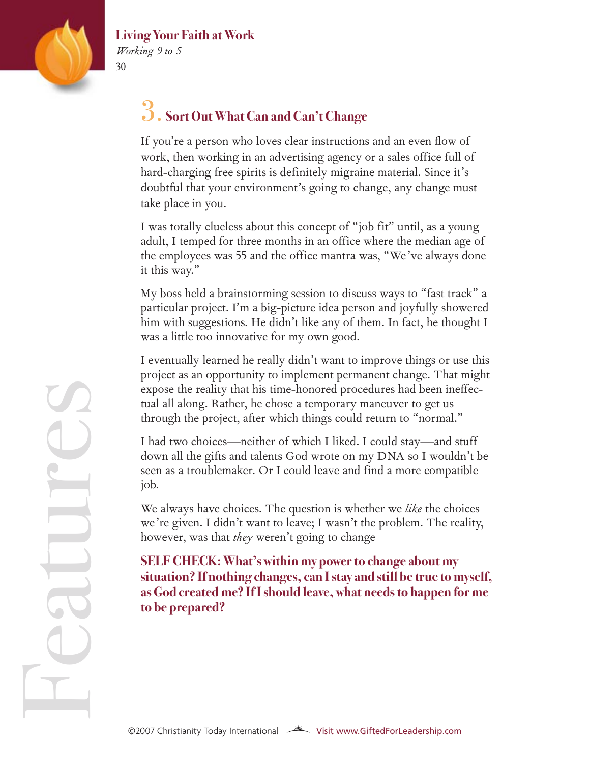

*Working 9 to 5*  30

## 3. **Sort Out What Can and Can't Change**

If you're a person who loves clear instructions and an even flow of work, then working in an advertising agency or a sales office full of hard-charging free spirits is definitely migraine material. Since it's doubtful that your environment's going to change, any change must take place in you.

I was totally clueless about this concept of "job fit" until, as a young adult, I temped for three months in an office where the median age of the employees was 55 and the office mantra was, "We've always done it this way."

My boss held a brainstorming session to discuss ways to "fast track" a particular project. I'm a big-picture idea person and joyfully showered him with suggestions. He didn't like any of them. In fact, he thought I was a little too innovative for my own good.

I eventually learned he really didn't want to improve things or use this project as an opportunity to implement permanent change. That might expose the reality that his time-honored procedures had been ineffectual all along. Rather, he chose a temporary maneuver to get us through the project, after which things could return to "normal."

I had two choices—neither of which I liked. I could stay—and stuff down all the gifts and talents God wrote on my DNA so I wouldn't be seen as a troublemaker. Or I could leave and find a more compatible job.

We always have choices. The question is whether we *like* the choices we're given. I didn't want to leave; I wasn't the problem. The reality, however, was that *they* weren't going to change

**SELF CHECK: What's within my power to change about my situation? If nothing changes, can I stay and still be true to myself, as God created me? If I should leave, what needs to happen for me to be prepared?**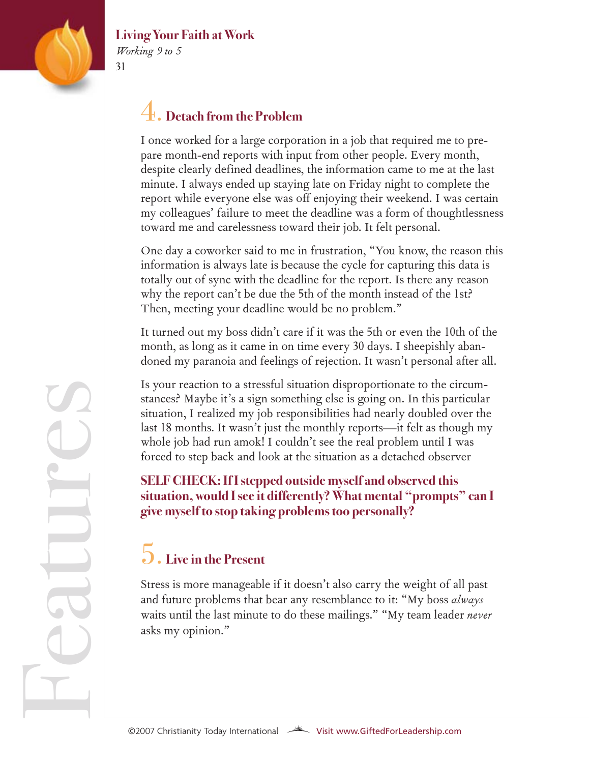

*Working 9 to 5* 31

## 4. **Detach from the Problem**

I once worked for a large corporation in a job that required me to prepare month-end reports with input from other people. Every month, despite clearly defined deadlines, the information came to me at the last minute. I always ended up staying late on Friday night to complete the report while everyone else was off enjoying their weekend. I was certain my colleagues' failure to meet the deadline was a form of thoughtlessness toward me and carelessness toward their job. It felt personal.

One day a coworker said to me in frustration, "You know, the reason this information is always late is because the cycle for capturing this data is totally out of sync with the deadline for the report. Is there any reason why the report can't be due the 5th of the month instead of the 1st? Then, meeting your deadline would be no problem."

It turned out my boss didn't care if it was the 5th or even the 10th of the month, as long as it came in on time every 30 days. I sheepishly abandoned my paranoia and feelings of rejection. It wasn't personal after all.

Is your reaction to a stressful situation disproportionate to the circumstances? Maybe it's a sign something else is going on. In this particular situation, I realized my job responsibilities had nearly doubled over the last 18 months. It wasn't just the monthly reports—it felt as though my whole job had run amok! I couldn't see the real problem until I was forced to step back and look at the situation as a detached observer

#### **SELF CHECK: If I stepped outside myself and observed this situation, would I see it differently? What mental "prompts" can I give myself to stop taking problems too personally?**

# 5. **Live in the Present**

Stress is more manageable if it doesn't also carry the weight of all past and future problems that bear any resemblance to it: "My boss *always* waits until the last minute to do these mailings." "My team leader *never* asks my opinion."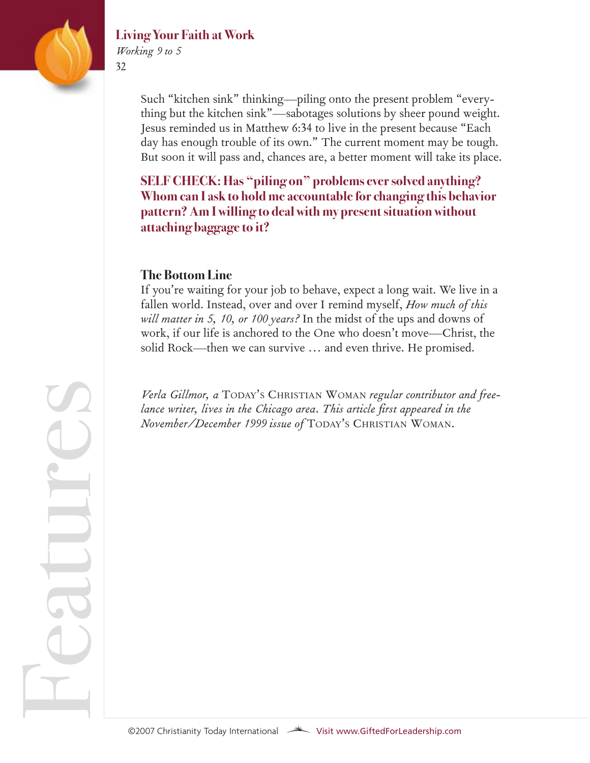

atur

e

 $\mathcal{L}$ 

#### **Living Your Faith at Work**

*Working 9 to 5* 32

> Such "kitchen sink" thinking—piling onto the present problem "everything but the kitchen sink"—sabotages solutions by sheer pound weight. Jesus reminded us in Matthew 6:34 to live in the present because "Each day has enough trouble of its own." The current moment may be tough. But soon it will pass and, chances are, a better moment will take its place.

**SELF CHECK: Has "piling on" problems ever solved anything? Whom can I ask to hold me accountable for changing this behavior pattern? Am I willing to deal with my present situation without attaching baggage to it?**

#### **The Bottom Line**

If you're waiting for your job to behave, expect a long wait. We live in a fallen world. Instead, over and over I remind myself, *How much of this will matter in 5, 10, or 100 years?* In the midst of the ups and downs of work, if our life is anchored to the One who doesn't move—Christ, the solid Rock—then we can survive … and even thrive. He promised.

*Verla Gillmor, a* TODAY'S CHRISTIAN WOMAN *regular contributor and freelance writer, lives in the Chicago area. This article first appeared in the November/December 1999 issue of* TODAY'S CHRISTIAN WOMAN*.*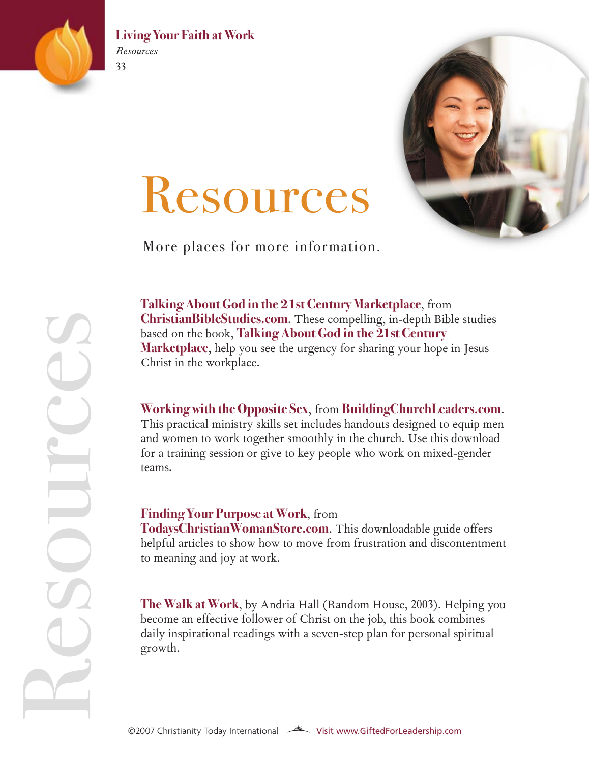

#### **Living Your Faith at Work** *Resources*

Resources



More places for more information.

**[Talking About God in the 21st Century Marketplace](http://biblestudies.stores.yahoo.net/doen10weco.html)**, from **[ChristianBibleStudies.com](http://www.christianitytoday.com/biblestudies)**. These compelling, in-depth Bible studies based on the book, **[Talking About God in the 21st Century](http://www.marketplace-network.org/store_items_view.asp?itemid=10036) [Marketplace](http://www.marketplace-network.org/store_items_view.asp?itemid=10036)**, help you see the urgency for sharing your hope in Jesus Christ in the workplace.

#### **[Working with the Opposite Sex](http://buildingchurchleaders.stores.yahoo.net/wowiopsex.html)**, from **[BuildingChurchLeaders.com](teamworx2.com/)**.

This practical ministry skills set includes handouts designed to equip men and women to work together smoothly in the church. Use this download for a training session or give to key people who work on mixed-gender teams.

#### **[Finding Your Purpose at Work](http://www.todayschristianwomanstore.com/fiyopuatwo.html)**, from

**[TodaysChristianWomanStore.com](http://www.todayschristianwomanstore.com/)**. This downloadable guide offers helpful articles to show how to move from frustration and discontentment to meaning and joy at work.

**[The Walk at Work](http://www.christianbook.com/Christian/Books/product?item_no=66444&p=1134425)**, by Andria Hall (Random House, 2003). Helping you become an effective follower of Christ on the job, this book combines daily inspirational readings with a seven-step plan for personal spiritual growth.